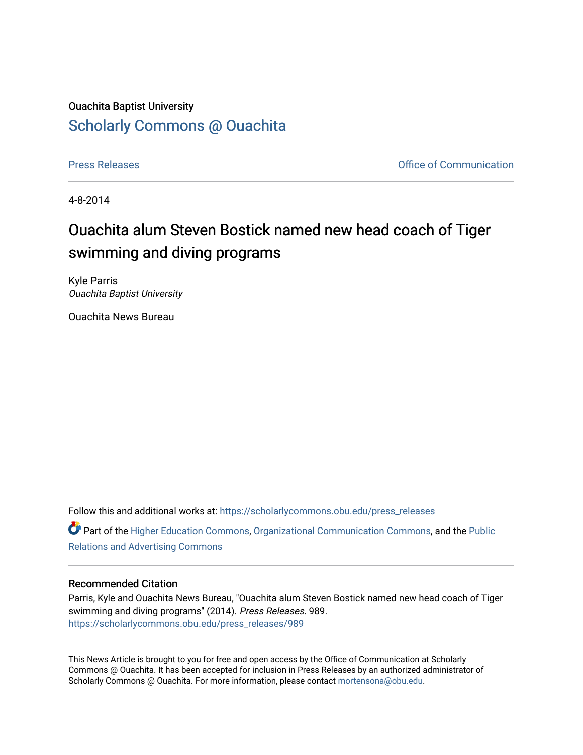## Ouachita Baptist University [Scholarly Commons @ Ouachita](https://scholarlycommons.obu.edu/)

[Press Releases](https://scholarlycommons.obu.edu/press_releases) **Press Releases Communication** 

4-8-2014

## Ouachita alum Steven Bostick named new head coach of Tiger swimming and diving programs

Kyle Parris Ouachita Baptist University

Ouachita News Bureau

Follow this and additional works at: [https://scholarlycommons.obu.edu/press\\_releases](https://scholarlycommons.obu.edu/press_releases?utm_source=scholarlycommons.obu.edu%2Fpress_releases%2F989&utm_medium=PDF&utm_campaign=PDFCoverPages) Part of the [Higher Education Commons,](http://network.bepress.com/hgg/discipline/1245?utm_source=scholarlycommons.obu.edu%2Fpress_releases%2F989&utm_medium=PDF&utm_campaign=PDFCoverPages) [Organizational Communication Commons,](http://network.bepress.com/hgg/discipline/335?utm_source=scholarlycommons.obu.edu%2Fpress_releases%2F989&utm_medium=PDF&utm_campaign=PDFCoverPages) and the [Public](http://network.bepress.com/hgg/discipline/336?utm_source=scholarlycommons.obu.edu%2Fpress_releases%2F989&utm_medium=PDF&utm_campaign=PDFCoverPages) [Relations and Advertising Commons](http://network.bepress.com/hgg/discipline/336?utm_source=scholarlycommons.obu.edu%2Fpress_releases%2F989&utm_medium=PDF&utm_campaign=PDFCoverPages) 

## Recommended Citation

Parris, Kyle and Ouachita News Bureau, "Ouachita alum Steven Bostick named new head coach of Tiger swimming and diving programs" (2014). Press Releases. 989. [https://scholarlycommons.obu.edu/press\\_releases/989](https://scholarlycommons.obu.edu/press_releases/989?utm_source=scholarlycommons.obu.edu%2Fpress_releases%2F989&utm_medium=PDF&utm_campaign=PDFCoverPages)

This News Article is brought to you for free and open access by the Office of Communication at Scholarly Commons @ Ouachita. It has been accepted for inclusion in Press Releases by an authorized administrator of Scholarly Commons @ Ouachita. For more information, please contact [mortensona@obu.edu](mailto:mortensona@obu.edu).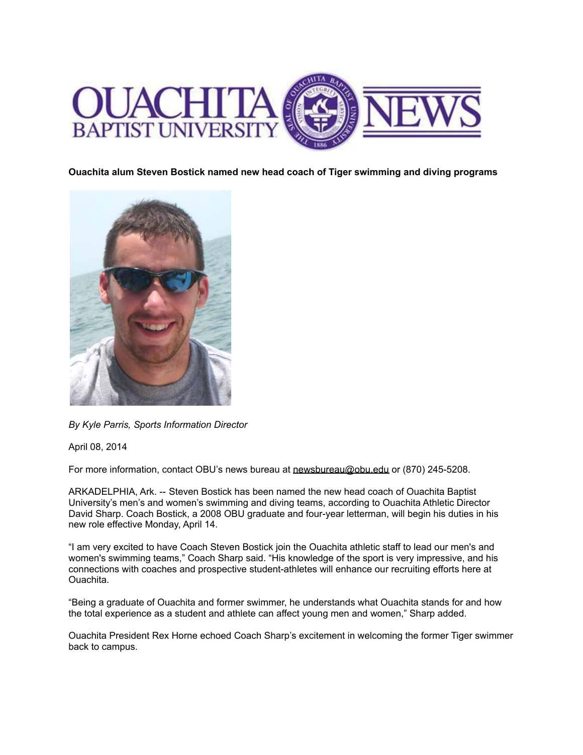

**Ouachita alum Steven Bostick named new head coach of Tiger swimming and diving programs**



*By Kyle Parris, Sports Information Director*

April 08, 2014

For more information, contact OBU's news bureau at [newsbureau@obu.edu](mailto:newsbureau@obu.edu) or (870) 245-5208.

ARKADELPHIA, Ark. -- Steven Bostick has been named the new head coach of Ouachita Baptist University's men's and women's swimming and diving teams, according to Ouachita Athletic Director David Sharp. Coach Bostick, a 2008 OBU graduate and four-year letterman, will begin his duties in his new role effective Monday, April 14.

"I am very excited to have Coach Steven Bostick join the Ouachita athletic staff to lead our men's and women's swimming teams," Coach Sharp said. "His knowledge of the sport is very impressive, and his connections with coaches and prospective student-athletes will enhance our recruiting efforts here at Ouachita.

"Being a graduate of Ouachita and former swimmer, he understands what Ouachita stands for and how the total experience as a student and athlete can affect young men and women," Sharp added.

Ouachita President Rex Horne echoed Coach Sharp's excitement in welcoming the former Tiger swimmer back to campus.